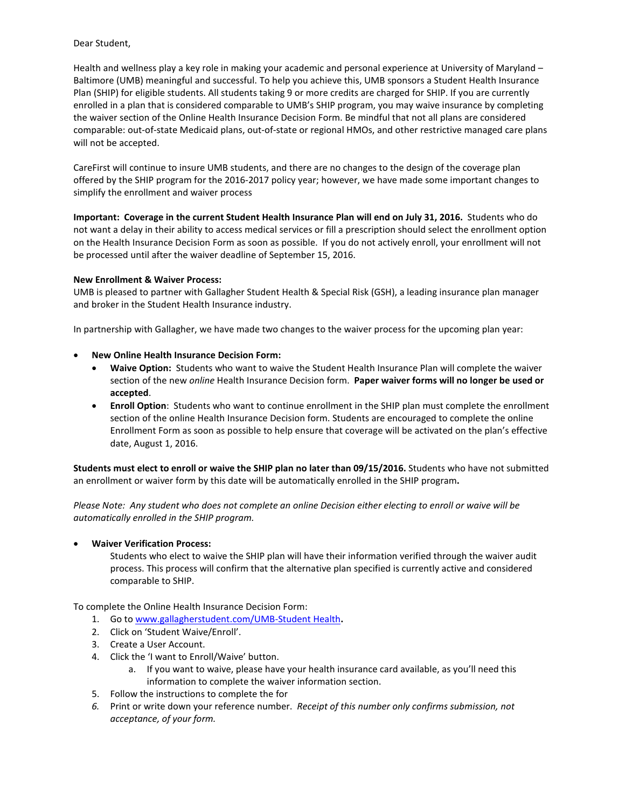## Dear Student,

Health and wellness play a key role in making your academic and personal experience at University of Maryland – Baltimore (UMB) meaningful and successful. To help you achieve this, UMB sponsors a Student Health Insurance Plan (SHIP) for eligible students. All students taking 9 or more credits are charged for SHIP. If you are currently enrolled in a plan that is considered comparable to UMB's SHIP program, you may waive insurance by completing the waiver section of the Online Health Insurance Decision Form. Be mindful that not all plans are considered comparable: out-of-state Medicaid plans, out-of-state or regional HMOs, and other restrictive managed care plans will not be accepted.

CareFirst will continue to insure UMB students, and there are no changes to the design of the coverage plan offered by the SHIP program for the 2016-2017 policy year; however, we have made some important changes to simplify the enrollment and waiver process

**Important: Coverage in the current Student Health Insurance Plan will end on July 31, 2016.** Students who do not want a delay in their ability to access medical services or fill a prescription should select the enrollment option on the Health Insurance Decision Form as soon as possible.If you do not actively enroll, your enrollment will not be processed until after the waiver deadline of September 15, 2016.

## **New Enrollment & Waiver Process:**

UMB is pleased to partner with Gallagher Student Health & Special Risk (GSH), a leading insurance plan manager and broker in the Student Health Insurance industry.

In partnership with Gallagher, we have made two changes to the waiver process for the upcoming plan year:

## • **New Online Health Insurance Decision Form:**

- **Waive Option:** Students who want to waive the Student Health Insurance Plan will complete the waiver section of the new *online* Health Insurance Decision form. **Paper waiver forms will no longer be used or accepted**.
- **Enroll Option**: Students who want to continue enrollment in the SHIP plan must complete the enrollment section of the online Health Insurance Decision form. Students are encouraged to complete the online Enrollment Form as soon as possible to help ensure that coverage will be activated on the plan's effective date, August 1, 2016.

**Students must elect to enroll or waive the SHIP plan no later than 09/15/2016.** Students who have not submitted an enrollment or waiver form by this date will be automatically enrolled in the SHIP program**.**

*Please Note: Any student who does not complete an online Decision either electing to enroll or waive will be automatically enrolled in the SHIP program.*

## • **Waiver Verification Process:**

Students who elect to waive the SHIP plan will have their information verified through the waiver audit process. This process will confirm that the alternative plan specified is currently active and considered comparable to SHIP.

To complete the Online Health Insurance Decision Form:

- 1. Go t[o www.gallagherstudent.com/UMB-Student Health](http://www.gallagherstudent.com/UMB-Student%20Health)**.**
- 2. Click on 'Student Waive/Enroll'.
- 3. Create a User Account.
- 4. Click the 'I want to Enroll/Waive' button.
	- a. If you want to waive, please have your health insurance card available, as you'll need this information to complete the waiver information section.
- 5. Follow the instructions to complete the for
- *6.* Print or write down your reference number. *Receipt of this number only confirms submission, not acceptance, of your form.*